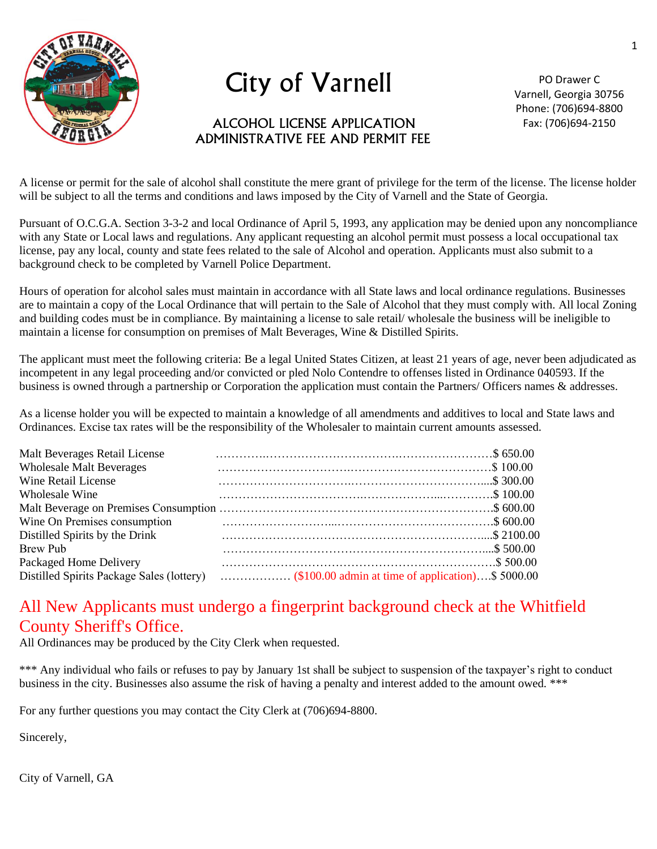

## City of Varnell

## ALCOHOL LICENSE APPLICATION ADMINISTRATIVE FEE AND PERMIT FEE

PO Drawer C Varnell, Georgia 30756 Phone: (706)694-8800 Fax: (706)694-2150

A license or permit for the sale of alcohol shall constitute the mere grant of privilege for the term of the license. The license holder will be subject to all the terms and conditions and laws imposed by the City of Varnell and the State of Georgia.

Pursuant of O.C.G.A. Section 3-3-2 and local Ordinance of April 5, 1993, any application may be denied upon any noncompliance with any State or Local laws and regulations. Any applicant requesting an alcohol permit must possess a local occupational tax license, pay any local, county and state fees related to the sale of Alcohol and operation. Applicants must also submit to a background check to be completed by Varnell Police Department.

Hours of operation for alcohol sales must maintain in accordance with all State laws and local ordinance regulations. Businesses are to maintain a copy of the Local Ordinance that will pertain to the Sale of Alcohol that they must comply with. All local Zoning and building codes must be in compliance. By maintaining a license to sale retail/ wholesale the business will be ineligible to maintain a license for consumption on premises of Malt Beverages, Wine & Distilled Spirits.

The applicant must meet the following criteria: Be a legal United States Citizen, at least 21 years of age, never been adjudicated as incompetent in any legal proceeding and/or convicted or pled Nolo Contendre to offenses listed in Ordinance 040593. If the business is owned through a partnership or Corporation the application must contain the Partners/ Officers names & addresses.

As a license holder you will be expected to maintain a knowledge of all amendments and additives to local and State laws and Ordinances. Excise tax rates will be the responsibility of the Wholesaler to maintain current amounts assessed.

| Malt Beverages Retail License             |  |
|-------------------------------------------|--|
| <b>Wholesale Malt Beverages</b>           |  |
| <b>Wine Retail License</b>                |  |
| Wholesale Wine                            |  |
|                                           |  |
| Wine On Premises consumption              |  |
| Distilled Spirits by the Drink            |  |
| <b>Brew Pub</b>                           |  |
| Packaged Home Delivery                    |  |
| Distilled Spirits Package Sales (lottery) |  |

## All New Applicants must undergo a fingerprint background check at the Whitfield County Sheriff's Office.

All Ordinances may be produced by the City Clerk when requested.

\*\*\* Any individual who fails or refuses to pay by January 1st shall be subject to suspension of the taxpayer's right to conduct business in the city. Businesses also assume the risk of having a penalty and interest added to the amount owed. \*\*\*

For any further questions you may contact the City Clerk at (706)694-8800.

Sincerely,

City of Varnell, GA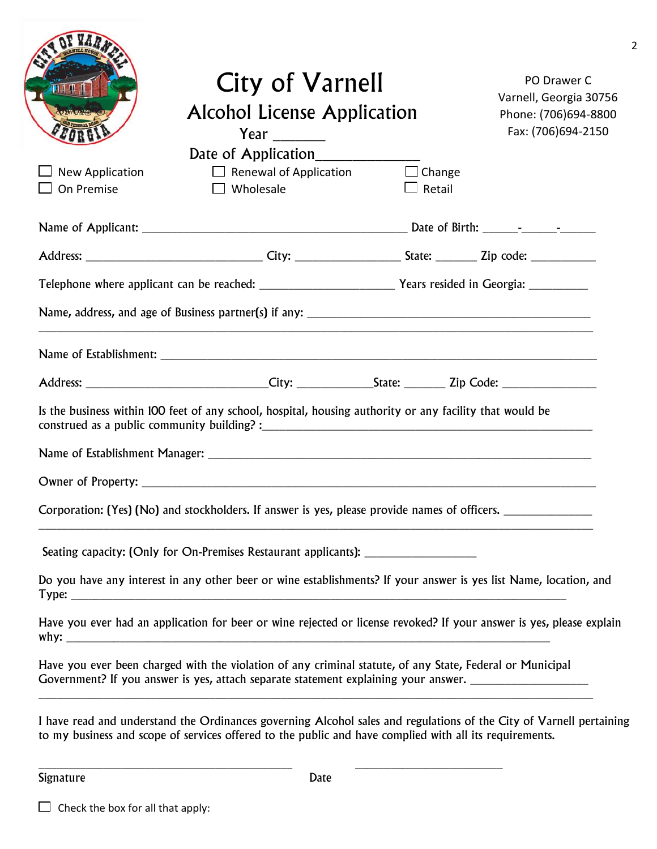|                               | City of Varnell<br><b>Alcohol License Application</b><br>Year $\_\_$<br>Date of Application                                                                                                                                       |                         |  |
|-------------------------------|-----------------------------------------------------------------------------------------------------------------------------------------------------------------------------------------------------------------------------------|-------------------------|--|
| New Application<br>On Premise | $\Box$ Renewal of Application<br>$\Box$ Wholesale                                                                                                                                                                                 | $\Box$ Change<br>Retail |  |
|                               |                                                                                                                                                                                                                                   |                         |  |
|                               |                                                                                                                                                                                                                                   |                         |  |
|                               |                                                                                                                                                                                                                                   |                         |  |
|                               |                                                                                                                                                                                                                                   |                         |  |
|                               |                                                                                                                                                                                                                                   |                         |  |
|                               |                                                                                                                                                                                                                                   |                         |  |
|                               | Is the business within 100 feet of any school, hospital, housing authority or any facility that would be                                                                                                                          |                         |  |
|                               |                                                                                                                                                                                                                                   |                         |  |
|                               |                                                                                                                                                                                                                                   |                         |  |
|                               | Corporation: (Yes) (No) and stockholders. If answer is yes, please provide names of officers. _______________<br>and the control of the control of the control of the control of the control of the control of the control of the |                         |  |
|                               | Seating capacity: (Only for On-Premises Restaurant applicants): ________________                                                                                                                                                  |                         |  |
|                               | Do you have any interest in any other beer or wine establishments? If your answer is yes list Name, location, and                                                                                                                 |                         |  |
|                               | Have you ever had an application for beer or wine rejected or license revoked? If your answer is yes, please explain                                                                                                              |                         |  |
|                               | Have you ever been charged with the violation of any criminal statute, of any State, Federal or Municipal<br>Government? If you answer is yes, attach separate statement explaining your answer. _________________________        |                         |  |
|                               | I have read and understand the Ordinances governing Alcohol sales and regulations of the City of Varnell pertaining<br>to my business and scope of services offered to the public and have complied with all its requirements.    |                         |  |

2

Signature Date

 $\Box$  Check the box for all that apply: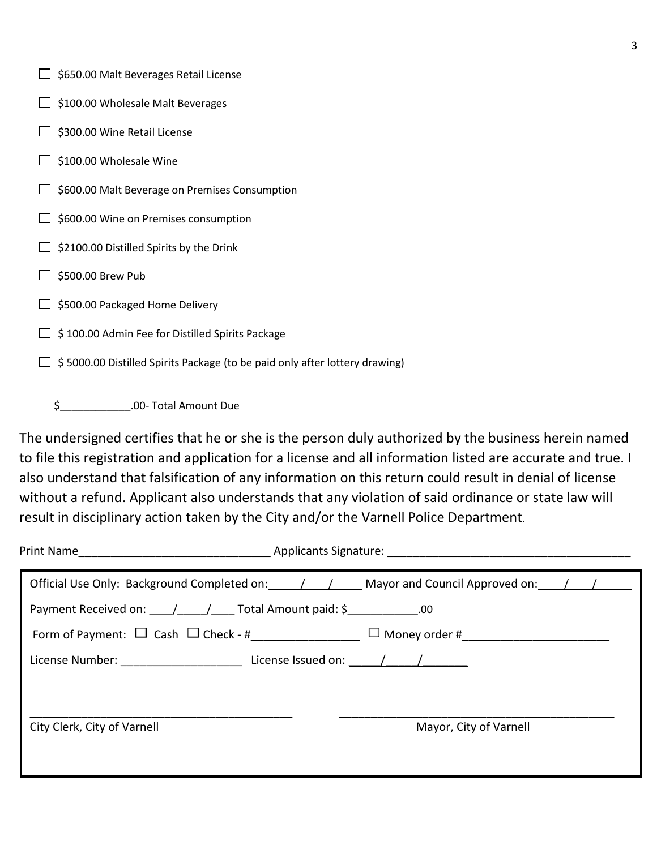| $\Box$ \$650.00 Malt Beverages Retail License |
|-----------------------------------------------|
|-----------------------------------------------|

- $\Box$  \$100.00 Wholesale Malt Beverages
- $\Box$  \$300.00 Wine Retail License
- $\Box$  \$100.00 Wholesale Wine
- $\Box$  \$600.00 Malt Beverage on Premises Consumption
- $\Box$  \$600.00 Wine on Premises consumption
- $\Box$  \$2100.00 Distilled Spirits by the Drink
- $\Box$  \$500.00 Brew Pub
- $\Box$  \$500.00 Packaged Home Delivery
- $\Box$  \$ 100.00 Admin Fee for Distilled Spirits Package
- $\Box$  \$ 5000.00 Distilled Spirits Package (to be paid only after lottery drawing)

\$\_\_\_\_\_\_\_\_\_\_\_\_.00- Total Amount Due

The undersigned certifies that he or she is the person duly authorized by the business herein named to file this registration and application for a license and all information listed are accurate and true. I also understand that falsification of any information on this return could result in denial of license without a refund. Applicant also understands that any violation of said ordinance or state law will result in disciplinary action taken by the City and/or the Varnell Police Department.

|                                                                                                                |  | Print Name and the contract of the Applicants Signature: The Contract of the Applicants Signature: |  |
|----------------------------------------------------------------------------------------------------------------|--|----------------------------------------------------------------------------------------------------|--|
|                                                                                                                |  | Official Use Only: Background Completed on: 1. 1. Mayor and Council Approved on: 1. 1.             |  |
| Payment Received on: 1 1 1 Total Amount paid: \$ 100                                                           |  |                                                                                                    |  |
|                                                                                                                |  |                                                                                                    |  |
| License Number: The Contract License Issued on: The Mumber of The Contract License Issued on: The Mumber of Th |  |                                                                                                    |  |
|                                                                                                                |  |                                                                                                    |  |
| City Clerk, City of Varnell                                                                                    |  | Mayor, City of Varnell                                                                             |  |